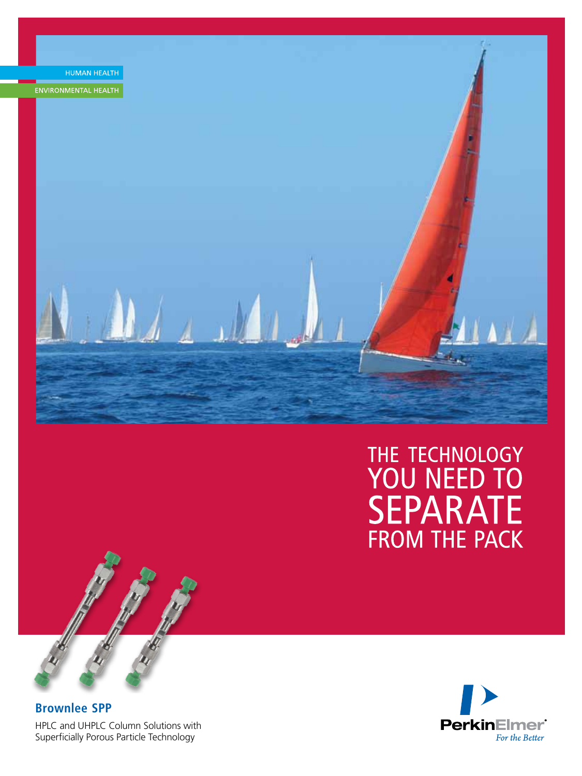

# THE TECHNOLOGY<br>YOU NEED TO **SEPARATE FROM THE PACK**



**Brownlee SPP** HPLC and UHPLC Column Solutions with Superficially Porous Particle Technology

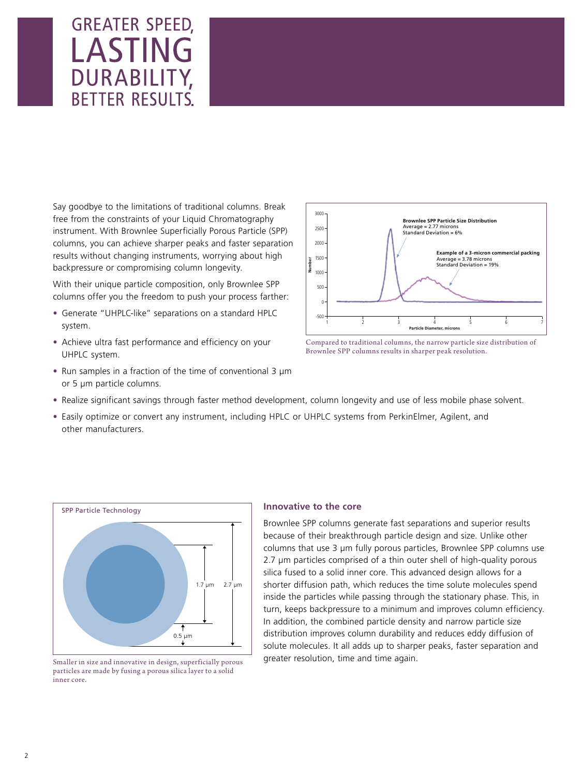## **GREATER SPEED,** LASTING DURABILITY, **BETTER RESULTS.**

Say goodbye to the limitations of traditional columns. Break free from the constraints of your Liquid Chromatography instrument. With Brownlee Superficially Porous Particle (SPP) columns, you can achieve sharper peaks and faster separation results without changing instruments, worrying about high backpressure or compromising column longevity.

With their unique particle composition, only Brownlee SPP columns offer you the freedom to push your process farther:

- Generate "UHPLC-like" separations on a standard HPLC system.
- Achieve ultra fast performance and efficiency on your UHPLC system.
- Run samples in a fraction of the time of conventional 3 µm or 5 µm particle columns.





- Realize significant savings through faster method development, column longevity and use of less mobile phase solvent.
- Easily optimize or convert any instrument, including HPLC or UHPLC systems from PerkinElmer, Agilent, and other manufacturers.



particles are made by fusing a porous silica layer to a solid inner core.

## **Innovative to the core**

Brownlee SPP columns generate fast separations and superior results because of their breakthrough particle design and size. Unlike other columns that use 3 µm fully porous particles, Brownlee SPP columns use 2.7 µm particles comprised of a thin outer shell of high-quality porous silica fused to a solid inner core. This advanced design allows for a shorter diffusion path, which reduces the time solute molecules spend inside the particles while passing through the stationary phase. This, in turn, keeps backpressure to a minimum and improves column efficiency. In addition, the combined particle density and narrow particle size distribution improves column durability and reduces eddy diffusion of solute molecules. It all adds up to sharper peaks, faster separation and Smaller in size and innovative in design, superficially porous greater resolution, time and time again.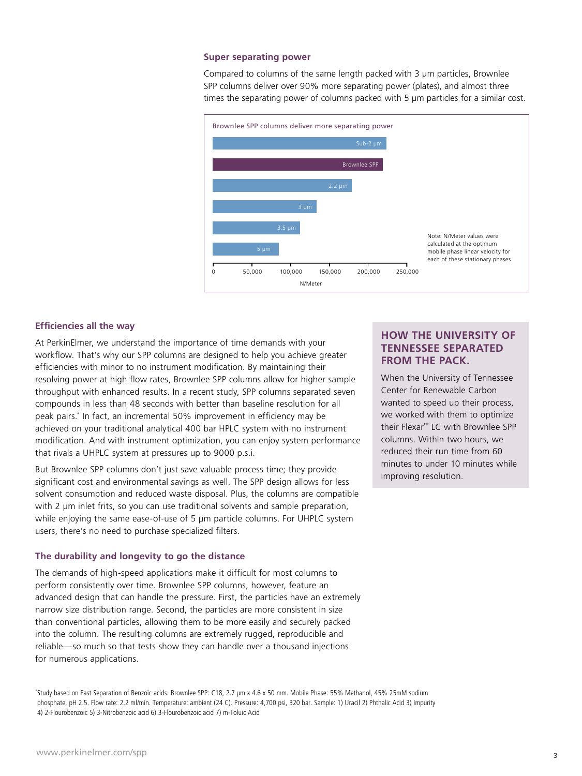#### **Super separating power**

Compared to columns of the same length packed with 3 µm particles, Brownlee SPP columns deliver over 90% more separating power (plates), and almost three times the separating power of columns packed with 5 µm particles for a similar cost.



### **Efficiencies all the way**

At PerkinElmer, we understand the importance of time demands with your workflow. That's why our SPP columns are designed to help you achieve greater efficiencies with minor to no instrument modification. By maintaining their resolving power at high flow rates, Brownlee SPP columns allow for higher sample throughput with enhanced results. In a recent study, SPP columns separated seven compounds in less than 48 seconds with better than baseline resolution for all peak pairs.\* In fact, an incremental 50% improvement in efficiency may be achieved on your traditional analytical 400 bar HPLC system with no instrument modification. And with instrument optimization, you can enjoy system performance that rivals a UHPLC system at pressures up to 9000 p.s.i.

But Brownlee SPP columns don't just save valuable process time; they provide significant cost and environmental savings as well. The SPP design allows for less solvent consumption and reduced waste disposal. Plus, the columns are compatible with 2  $\mu$ m inlet frits, so you can use traditional solvents and sample preparation, while enjoying the same ease-of-use of 5  $\mu$ m particle columns. For UHPLC system users, there's no need to purchase specialized filters.

#### **The durability and longevity to go the distance**

The demands of high-speed applications make it difficult for most columns to perform consistently over time. Brownlee SPP columns, however, feature an advanced design that can handle the pressure. First, the particles have an extremely narrow size distribution range. Second, the particles are more consistent in size than conventional particles, allowing them to be more easily and securely packed into the column. The resulting columns are extremely rugged, reproducible and reliable—so much so that tests show they can handle over a thousand injections for numerous applications.

\* Study based on Fast Separation of Benzoic acids. Brownlee SPP: C18, 2.7 µm x 4.6 x 50 mm. Mobile Phase: 55% Methanol, 45% 25mM sodium phosphate, pH 2.5. Flow rate: 2.2 ml/min. Temperature: ambient (24 C). Pressure: 4,700 psi, 320 bar. Sample: 1) Uracil 2) Phthalic Acid 3) Impurity 4) 2-Flourobenzoic 5) 3-Nitrobenzoic acid 6) 3-Flourobenzoic acid 7) m-Toluic Acid

## **HOW THE UNIVERSITY OF TENNESSEE SEPARATED FROM THE PACK.**

When the University of Tennessee Center for Renewable Carbon wanted to speed up their process, we worked with them to optimize their Flexar™ LC with Brownlee SPP columns. Within two hours, we reduced their run time from 60 minutes to under 10 minutes while improving resolution.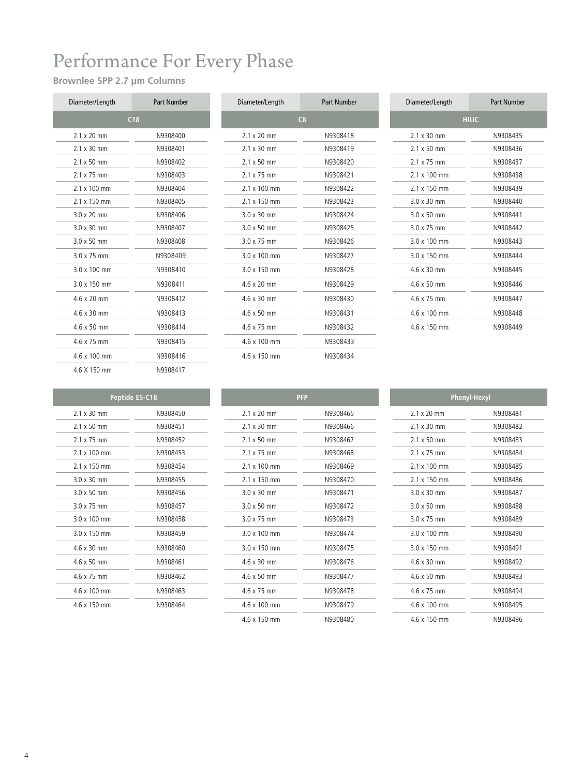## Performance For Every Phase

## **Brownlee SPP 2.7 µm Columns**

| Diameter/Length     | <b>Part Number</b> |
|---------------------|--------------------|
|                     | C18                |
| $21x20$ mm          | N9308400           |
| $2.1 \times 30$ mm  | N9308401           |
| $2.1 \times 50$ mm  | N9308402           |
| $2.1 \times 75$ mm  | N9308403           |
| $2.1 \times 100$ mm | N9308404           |
| $2.1 \times 150$ mm | N9308405           |
| $3.0 \times 20$ mm  | N9308406           |
| $3.0 \times 30$ mm  | N9308407           |
| $3.0 \times 50$ mm  | N9308408           |
| 30 x 75 mm          | N9308409           |
| $3.0 \times 100$ mm | N9308410           |
| $3.0 \times 150$ mm | N9308411           |
| $4.6 \times 20$ mm  | N9308412           |
| $4.6 \times 30$ mm  | N9308413           |
| $4.6 \times 50$ mm  | N9308414           |
| 4 6 x 75 mm         | N9308415           |
| 4.6 x 100 mm        | N9308416           |
| 4.6 X 150 mm        | N9308417           |

| Diameter/Length     | Part Number |
|---------------------|-------------|
|                     | C8          |
| $2.1 \times 20$ mm  | N9308418    |
| $2.1 \times 30$ mm  | N9308419    |
| $2.1 \times 50$ mm  | N9308420    |
| $2.1 \times 75$ mm  | N9308421    |
| $2.1 \times 100$ mm | N9308422    |
| $2.1 \times 150$ mm | N9308423    |
| $3.0 \times 30$ mm  | N9308424    |
| $3.0 \times 50$ mm  | N9308425    |
| $3.0 \times 75$ mm  | N9308426    |
| $3.0 \times 100$ mm | N9308427    |
| $3.0 \times 150$ mm | N9308428    |
| 4.6 x 20 mm         | N9308429    |
| 4.6 x 30 mm         | N9308430    |
| $4.6 \times 50$ mm  | N9308431    |
| 4.6 x 75 mm         | N9308432    |
| 4.6 x 100 mm        | N9308433    |
| 4.6 x 150 mm        | N9308434    |

| Diameter/Length     | <b>Part Number</b> | Diameter/Length     | <b>Part Number</b> | Diameter/Length     | <b>Part Number</b> |
|---------------------|--------------------|---------------------|--------------------|---------------------|--------------------|
|                     | C18                |                     | C8                 |                     | <b>HILIC</b>       |
| $2.1 \times 20$ mm  | N9308400           | $2.1 \times 20$ mm  | N9308418           | $2.1 \times 30$ mm  | N9308435           |
| $2.1 \times 30$ mm  | N9308401           | $2.1 \times 30$ mm  | N9308419           | $2.1 \times 50$ mm  | N9308436           |
| $2.1 \times 50$ mm  | N9308402           | $2.1 \times 50$ mm  | N9308420           | $2.1 \times 75$ mm  | N9308437           |
| $2.1 \times 75$ mm  | N9308403           | $2.1 \times 75$ mm  | N9308421           | $2.1 \times 100$ mm | N9308438           |
| $2.1 \times 100$ mm | N9308404           | $2.1 \times 100$ mm | N9308422           | $2.1 \times 150$ mm | N9308439           |
| $2.1 \times 150$ mm | N9308405           | $2.1 \times 150$ mm | N9308423           | $3.0 \times 30$ mm  | N9308440           |
| $3.0 \times 20$ mm  | N9308406           | $3.0 \times 30$ mm  | N9308424           | $3.0 \times 50$ mm  | N9308441           |
| $3.0 \times 30$ mm  | N9308407           | $3.0 \times 50$ mm  | N9308425           | $3.0 \times 75$ mm  | N9308442           |
| $3.0 \times 50$ mm  | N9308408           | $3.0 \times 75$ mm  | N9308426           | $3.0 \times 100$ mm | N9308443           |
| $3.0 \times 75$ mm  | N9308409           | $3.0 \times 100$ mm | N9308427           | 3.0 x 150 mm        | N9308444           |
| 3.0 x 100 mm        | N9308410           | 3.0 x 150 mm        | N9308428           | $4.6 \times 30$ mm  | N9308445           |
| 3.0 x 150 mm        | N9308411           | 4.6 x 20 mm         | N9308429           | 4.6 x 50 mm         | N9308446           |
| 4.6 x 20 mm         | N9308412           | $4.6 \times 30$ mm  | N9308430           | $4.6 \times 75$ mm  | N9308447           |
| 4.6 x 30 mm         | N9308413           | 4.6 x 50 mm         | N9308431           | 4.6 x 100 mm        | N9308448           |
| 4.6 x 50 mm         | N9308414           | $4.6 \times 75$ mm  | N9308432           | 4.6 x 150 mm        | N9308449           |

|                     | <b>Peptide ES-C18</b> |
|---------------------|-----------------------|
| $21x30$ mm          | N9308450              |
| $2.1 \times 50$ mm  | N9308451              |
| $2.1 \times 75$ mm  | N9308452              |
| $2.1 \times 100$ mm | N9308453              |
| 2 1 x 150 mm        | N9308454              |
| $3.0 \times 30$ mm  | N9308455              |
| $3.0 \times 50$ mm  | N9308456              |
| 30 x 75 mm          | N9308457              |
| 3.0 x 100 mm        | N9308458              |
| $3.0 \times 150$ mm | N9308459              |
| $4.6 \times 30$ mm  | N9308460              |
| $4.6 \times 50$ mm  | N9308461              |
| 46 x 75 mm          | N9308462              |
| 4.6 x 100 mm        | N9308463              |
| 4.6 x 150 mm        | N9308464              |

|                     | <b>PFP</b> |
|---------------------|------------|
| 21x20mm             | N9308465   |
| $2.1 \times 30$ mm  | N9308466   |
| $2.1 \times 50$ mm  | N9308467   |
| $2.1 \times 75$ mm  | N9308468   |
| $2.1 \times 100$ mm | N9308469   |
| 2 1 x 150 mm        | N9308470   |
| $3.0 \times 30$ mm  | N9308471   |
| $3.0 \times 50$ mm  | N9308472   |
| 3 0 x 75 mm         | N9308473   |
| 3.0 x 100 mm        | N9308474   |
| 3.0 x 150 mm        | N9308475   |
| 4 6 x 30 mm         | N9308476   |
| $4.6 \times 50$ mm  | N9308477   |
| 4 6 x 75 mm         | N9308478   |
| 4.6 x 100 mm        | N9308479   |
| 4 6 x 150 mm        | N9308480   |

| <b>Phenyl-Hexyl</b> |          |  |  |  |  |
|---------------------|----------|--|--|--|--|
| $2.1 \times 20$ mm  | N9308481 |  |  |  |  |
| $2.1 \times 30$ mm  | N9308482 |  |  |  |  |
| $21x50$ mm          | N9308483 |  |  |  |  |
| 2 1 x 75 mm         | N9308484 |  |  |  |  |
| 2 1 x 100 mm        | N9308485 |  |  |  |  |
| $2.1 \times 150$ mm | N9308486 |  |  |  |  |
| $3.0 \times 30$ mm  | N9308487 |  |  |  |  |
| $3.0 \times 50$ mm  | N9308488 |  |  |  |  |
| 30 x 75 mm          | N9308489 |  |  |  |  |
| 3.0 x 100 mm        | N9308490 |  |  |  |  |
| 3.0 x 150 mm        | N9308491 |  |  |  |  |
| 4 6 x 30 mm         | N9308492 |  |  |  |  |
| 4 6 x 50 mm         | N9308493 |  |  |  |  |
| 46 x 75 mm          | N9308494 |  |  |  |  |
| 46 x 100 mm         | N9308495 |  |  |  |  |
| 46 x 150 mm         | N9308496 |  |  |  |  |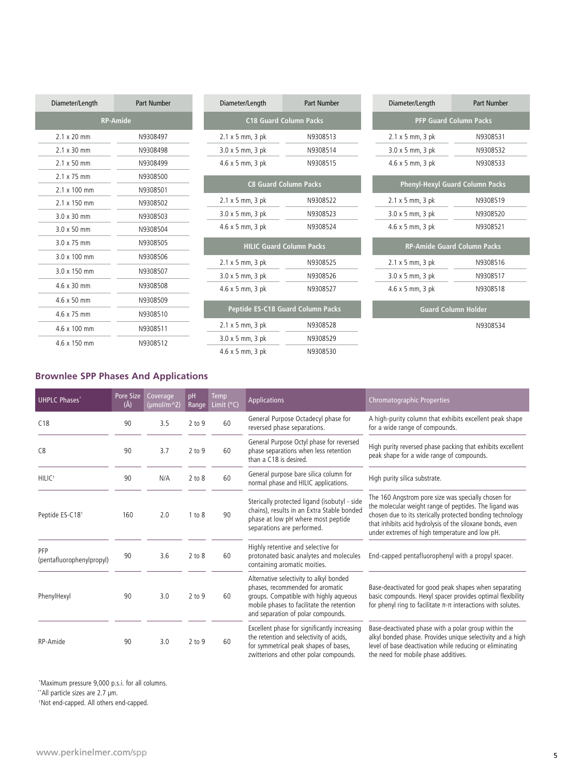| Diameter/Length     | <b>Part Number</b> | Diameter/Length                   | <b>Part Number</b>            | Diameter/Length           | <b>Part Number</b>                 |
|---------------------|--------------------|-----------------------------------|-------------------------------|---------------------------|------------------------------------|
|                     | <b>RP-Amide</b>    |                                   | <b>C18 Guard Column Packs</b> |                           | <b>PFP Guard Column Packs</b>      |
| $2.1 \times 20$ mm  | N9308497           | $2.1 \times 5$ mm, $3$ pk         | N9308513                      | $2.1 \times 5$ mm, 3 pk   | N9308531                           |
| $2.1 \times 30$ mm  | N9308498           | $3.0 \times 5$ mm, $3$ pk         | N9308514                      | $3.0 \times 5$ mm, $3$ pk | N9308532                           |
| $2.1 \times 50$ mm  | N9308499           | $4.6 \times 5$ mm, $3$ pk         | N9308515                      | 4.6 x 5 mm, 3 pk          | N9308533                           |
| $2.1 \times 75$ mm  | N9308500           |                                   |                               |                           |                                    |
| $2.1 \times 100$ mm | N9308501           | <b>C8 Guard Column Packs</b>      |                               |                           | Phenyl-Hexyl Guard Column Packs    |
| $2.1 \times 150$ mm | N9308502           | $2.1 \times 5$ mm, $3$ pk         | N9308522                      | $2.1 \times 5$ mm, $3$ pk | N9308519                           |
| $3.0 \times 30$ mm  | N9308503           | $3.0 \times 5$ mm, $3$ pk         | N9308523                      | $3.0 \times 5$ mm, $3$ pk | N9308520                           |
| $3.0 \times 50$ mm  | N9308504           | $4.6 \times 5$ mm, $3$ pk         | N9308524                      | $4.6 \times 5$ mm, $3$ pk | N9308521                           |
| $3.0 \times 75$ mm  | N9308505           | <b>HILIC Guard Column Packs</b>   |                               |                           | <b>RP-Amide Guard Column Packs</b> |
| $3.0 \times 100$ mm | N9308506           | $2.1 \times 5$ mm, 3 pk           | N9308525                      | $2.1 \times 5$ mm, $3$ pk | N9308516                           |
| 3.0 x 150 mm        | N9308507           | $3.0 \times 5$ mm, $3$ pk         | N9308526                      | $3.0 \times 5$ mm, $3$ pk | N9308517                           |
| $4.6 \times 30$ mm  | N9308508           | $4.6 \times 5$ mm, $3$ pk         | N9308527                      | $4.6 \times 5$ mm, $3$ pk | N9308518                           |
| $4.6 \times 50$ mm  | N9308509           |                                   |                               |                           |                                    |
| $4.6 \times 75$ mm  | N9308510           | Peptide ES-C18 Guard Column Packs |                               |                           | <b>Guard Column Holder</b>         |
| 4.6 x 100 mm        | N9308511           | $2.1 \times 5$ mm, $3$ pk         | N9308528                      |                           | N9308534                           |
| $4.6 \times 150$ mm | N9308512           | $3.0 \times 5$ mm, $3$ pk         | N9308529                      |                           |                                    |
|                     |                    | $4.6 \times 5$ mm, $3$ pk         | N9308530                      |                           |                                    |

## **Brownlee SPP Phases And Applications**

| <b>UHPLC Phases*</b>             | Pore Size<br>$(\check{A})$ | Coverage<br>(µmol/m^2) | pH<br>Range | <b>Temp</b><br>Limit $(^{\circ}C)$ | <b>Applications</b>                                                                                                                                                                                      | <b>Chromatographic Properties</b>                                                                                                                                                                                                                                                         |
|----------------------------------|----------------------------|------------------------|-------------|------------------------------------|----------------------------------------------------------------------------------------------------------------------------------------------------------------------------------------------------------|-------------------------------------------------------------------------------------------------------------------------------------------------------------------------------------------------------------------------------------------------------------------------------------------|
| C18                              | 90                         | 3.5                    | $2$ to $9$  | 60                                 | General Purpose Octadecyl phase for<br>reversed phase separations.                                                                                                                                       | A high-purity column that exhibits excellent peak shape<br>for a wide range of compounds.                                                                                                                                                                                                 |
| C8                               | 90                         | 3.7                    | $2$ to $9$  | 60                                 | General Purpose Octyl phase for reversed<br>phase separations when less retention<br>than a C18 is desired.                                                                                              | High purity reversed phase packing that exhibits excellent<br>peak shape for a wide range of compounds.                                                                                                                                                                                   |
| HILIC <sup>+</sup>               | 90                         | N/A                    | $2$ to $8$  | 60                                 | General purpose bare silica column for<br>normal phase and HILIC applications.                                                                                                                           | High purity silica substrate.                                                                                                                                                                                                                                                             |
| Peptide ES-C18 <sup>+</sup>      | 160                        | 2.0                    | 1 to 8      | 90                                 | Sterically protected ligand (isobutyl - side<br>chains), results in an Extra Stable bonded<br>phase at low pH where most peptide<br>separations are performed.                                           | The 160 Angstrom pore size was specially chosen for<br>the molecular weight range of peptides. The ligand was<br>chosen due to its sterically protected bonding technology<br>that inhibits acid hydrolysis of the siloxane bonds, even<br>under extremes of high temperature and low pH. |
| PFP<br>(pentafluorophenylpropyl) | 90                         | 3.6                    | $2$ to $8$  | 60                                 | Highly retentive and selective for<br>protonated basic analytes and molecules<br>containing aromatic moities.                                                                                            | End-capped pentafluorophenyl with a propyl spacer.                                                                                                                                                                                                                                        |
| PhenylHexyl                      | 90                         | 3.0                    | $2$ to $9$  | 60                                 | Alternative selectivity to alkyl bonded<br>phases, recommended for aromatic<br>groups. Compatible with highly aqueous<br>mobile phases to facilitate the retention<br>and separation of polar compounds. | Base-deactivated for good peak shapes when separating<br>basic compounds. Hexyl spacer provides optimal flexibility<br>for phenyl ring to facilitate $\pi$ - $\pi$ interactions with solutes.                                                                                             |
| RP-Amide                         | 90                         | 3.0                    | $2$ to $9$  | 60                                 | Excellent phase for significantly increasing<br>the retention and selectivity of acids,<br>for symmetrical peak shapes of bases,<br>zwitterions and other polar compounds.                               | Base-deactivated phase with a polar group within the<br>alkyl bonded phase. Provides unique selectivity and a high<br>level of base deactivation while reducing or eliminating<br>the need for mobile phase additives.                                                                    |

\*Maximum pressure 9,000 p.s.i. for all columns.

\*\*All particle sizes are 2.7 µm.

†Not end-capped. All others end-capped.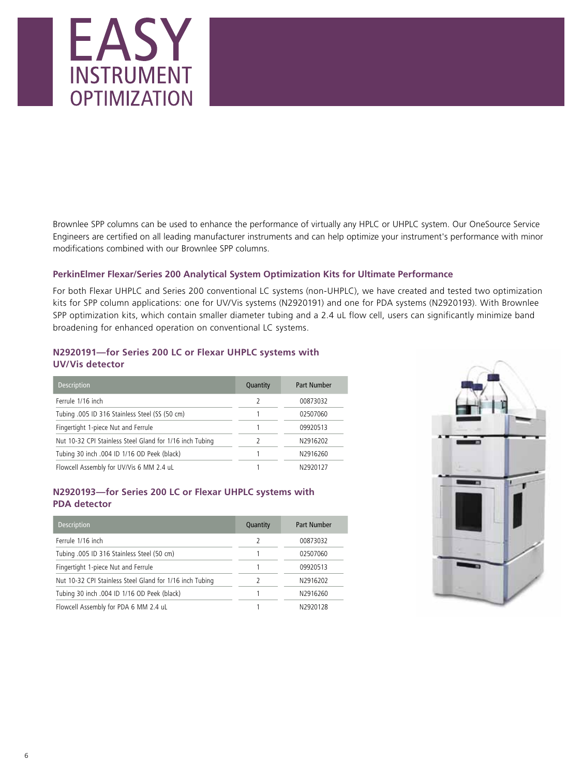

Brownlee SPP columns can be used to enhance the performance of virtually any HPLC or UHPLC system. Our OneSource Service Engineers are certified on all leading manufacturer instruments and can help optimize your instrument's performance with minor modifications combined with our Brownlee SPP columns.

## **PerkinElmer Flexar/Series 200 Analytical System Optimization Kits for Ultimate Performance**

For both Flexar UHPLC and Series 200 conventional LC systems (non-UHPLC), we have created and tested two optimization kits for SPP column applications: one for UV/Vis systems (N2920191) and one for PDA systems (N2920193). With Brownlee SPP optimization kits, which contain smaller diameter tubing and a 2.4 uL flow cell, users can significantly minimize band broadening for enhanced operation on conventional LC systems.

## **N2920191—for Series 200 LC or Flexar UHPLC systems with UV/Vis detector**

| <b>Description</b>                                       | Quantity | <b>Part Number</b> |
|----------------------------------------------------------|----------|--------------------|
| Ferrule 1/16 inch                                        |          | 00873032           |
| Tubing .005 ID 316 Stainless Steel (SS (50 cm)           |          | 02507060           |
| Fingertight 1-piece Nut and Ferrule                      |          | 09920513           |
| Nut 10-32 CPI Stainless Steel Gland for 1/16 inch Tubing |          | N2916202           |
| Tubing 30 inch .004 ID 1/16 OD Peek (black)              |          | N2916260           |
| Flowcell Assembly for UV/Vis 6 MM 2.4 uL                 |          | N2920127           |

## **N2920193—for Series 200 LC or Flexar UHPLC systems with PDA detector**

| <b>Description</b>                                       | Quantity | <b>Part Number</b> |
|----------------------------------------------------------|----------|--------------------|
| Ferrule 1/16 inch                                        | 2        | 00873032           |
| Tubing .005 ID 316 Stainless Steel (50 cm)               |          | 02507060           |
| Fingertight 1-piece Nut and Ferrule                      |          | 09920513           |
| Nut 10-32 CPI Stainless Steel Gland for 1/16 inch Tubing |          | N2916202           |
| Tubing 30 inch .004 ID 1/16 OD Peek (black)              |          | N2916260           |
| Flowcell Assembly for PDA 6 MM 2.4 uL                    |          | N2920128           |

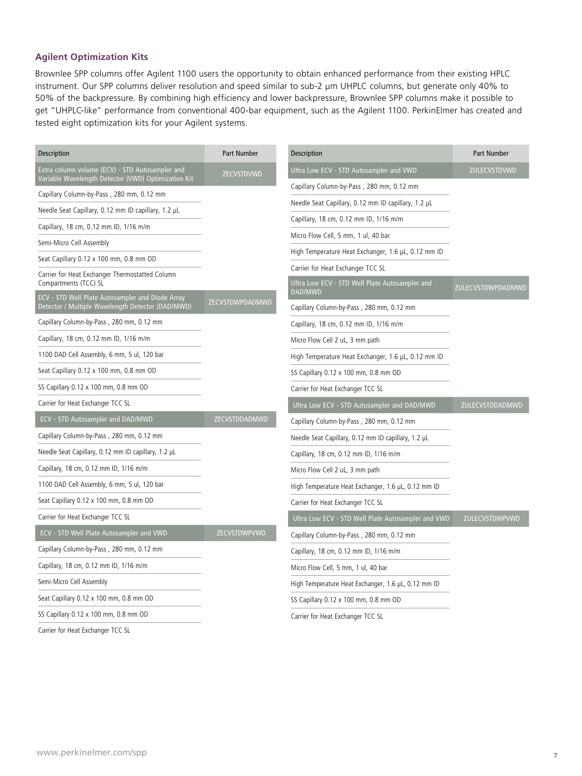## **Agilent Optimization Kits**

Brownlee SPP columns offer Agilent 1100 users the opportunity to obtain enhanced performance from their existing HPLC instrument. Our SPP columns deliver resolution and speed similar to sub-2 µm UHPLC columns, but generate only 40% to 50% of the backpressure. By combining high efficiency and lower backpressure, Brownlee SPP columns make it possible to get "UHPLC-like" performance from conventional 400-bar equipment, such as the Agilent 1100. PerkinElmer has created and tested eight optimization kits for your Agilent systems.

| Description                                                                                            | Part Number     | Description                                               | Part Number       |
|--------------------------------------------------------------------------------------------------------|-----------------|-----------------------------------------------------------|-------------------|
| Extra column volume (ECV) - STD Autosampler and<br>Variable Wavelength Detector (VWD) Optimization Kit | ZECVSTDVWD      | Ultra Low ECV - STD Autosampler and VWD                   | ZULECVSTDVWD      |
| Capillary Column-by-Pass, 280 mm, 0.12 mm                                                              |                 | Capillary Column-by-Pass, 280 mm, 0.12 mm                 |                   |
| Needle Seat Capillary, 0.12 mm ID capillary, 1.2 µL                                                    |                 | Needle Seat Capillary, 0.12 mm ID capillary, 1.2 µL       |                   |
| Capillary, 18 cm, 0.12 mm ID, 1/16 m/m                                                                 |                 | Capillary, 18 cm, 0.12 mm ID, 1/16 m/m                    |                   |
| Semi-Micro Cell Assembly                                                                               |                 | Micro Flow Cell, 5 mm, 1 ul, 40 bar                       |                   |
|                                                                                                        |                 | High Temperature Heat Exchanger, 1.6 µL, 0.12 mm ID       |                   |
| Seat Capillary 0.12 x 100 mm, 0.8 mm OD<br>Carrier for Heat Exchanger Thermostatted Column             |                 | Carrier for Heat Exchanger TCC SL                         |                   |
| Compartments (TCC) SL<br><b>ECV - STD Well Plate Autosampler and Diode Array</b>                       |                 | Ultra Low ECV - STD Well Plate Autosampler and<br>DAD/MWD | ZULECVSTDWPDADMWD |
| Detector / Multiple Wavelength Detector (DAD/MWD)                                                      | ZECVSTDWPDADMWD | Capillary Column-by-Pass, 280 mm, 0.12 mm                 |                   |
| Capillary Column-by-Pass, 280 mm, 0.12 mm                                                              |                 | Capillary, 18 cm, 0.12 mm ID, 1/16 m/m                    |                   |
| Capillary, 18 cm, 0.12 mm ID, 1/16 m/m                                                                 |                 | Micro Flow Cell 2 uL, 3 mm path                           |                   |
| 1100 DAD Cell Assembly, 6 mm, 5 ul, 120 bar                                                            |                 | High Temperature Heat Exchanger, 1.6 µL, 0.12 mm ID       |                   |
| Seat Capillary 0.12 x 100 mm, 0.8 mm OD                                                                |                 | SS Capillary 0.12 x 100 mm, 0.8 mm OD                     |                   |
| SS Capillary 0.12 x 100 mm, 0.8 mm OD                                                                  |                 | Carrier for Heat Exchanger TCC SL                         |                   |
| Carrier for Heat Exchanger TCC SL                                                                      |                 | Ultra Low ECV - STD Autosampler and DAD/MWD               | ZULECVSTDDADMWD   |
| ECV - STD Autosampler and DAD/MWD                                                                      | ZECVSTDDADMWD   | Capillary Column-by-Pass, 280 mm, 0.12 mm                 |                   |
| Capillary Column-by-Pass, 280 mm, 0.12 mm                                                              |                 | Needle Seat Capillary, 0.12 mm ID capillary, 1.2 µL       |                   |
| Needle Seat Capillary, 0.12 mm ID capillary, 1.2 µL                                                    |                 | Capillary, 18 cm, 0.12 mm ID, 1/16 m/m                    |                   |
| Capillary, 18 cm, 0.12 mm ID, 1/16 m/m                                                                 |                 | Micro Flow Cell 2 uL, 3 mm path                           |                   |
| 1100 DAD Cell Assembly, 6 mm, 5 ul, 120 bar                                                            |                 | High Temperature Heat Exchanger, 1.6 µL, 0.12 mm ID       |                   |
| Seat Capillary 0.12 x 100 mm, 0.8 mm OD                                                                |                 | Carrier for Heat Exchanger TCC SL                         |                   |
| Carrier for Heat Exchanger TCC SL                                                                      |                 | Ultra Low ECV - STD Well Plate Autosampler and VWD        | ZULECVSTDWPVWD    |
| ECV - STD Well Plate Autosampler and VWD                                                               | ZECVSTDWPVWD    | Capillary Column-by-Pass, 280 mm, 0.12 mm                 |                   |
| Capillary Column-by-Pass, 280 mm, 0.12 mm                                                              |                 | Capillary, 18 cm, 0.12 mm ID, 1/16 m/m                    |                   |
| Capillary, 18 cm, 0.12 mm ID, 1/16 m/m                                                                 |                 | Micro Flow Cell, 5 mm, 1 ul, 40 bar                       |                   |
| Semi-Micro Cell Assembly                                                                               |                 | High Temperature Heat Exchanger, 1.6 µL, 0.12 mm ID       |                   |
| Seat Capillary 0.12 x 100 mm, 0.8 mm OD                                                                |                 | SS Capillary 0.12 x 100 mm, 0.8 mm OD                     |                   |
| SS Capillary 0.12 x 100 mm, 0.8 mm OD                                                                  |                 | Carrier for Heat Exchanger TCC SL                         |                   |
| Carrier for Heat Exchanger TCC SL                                                                      |                 |                                                           |                   |